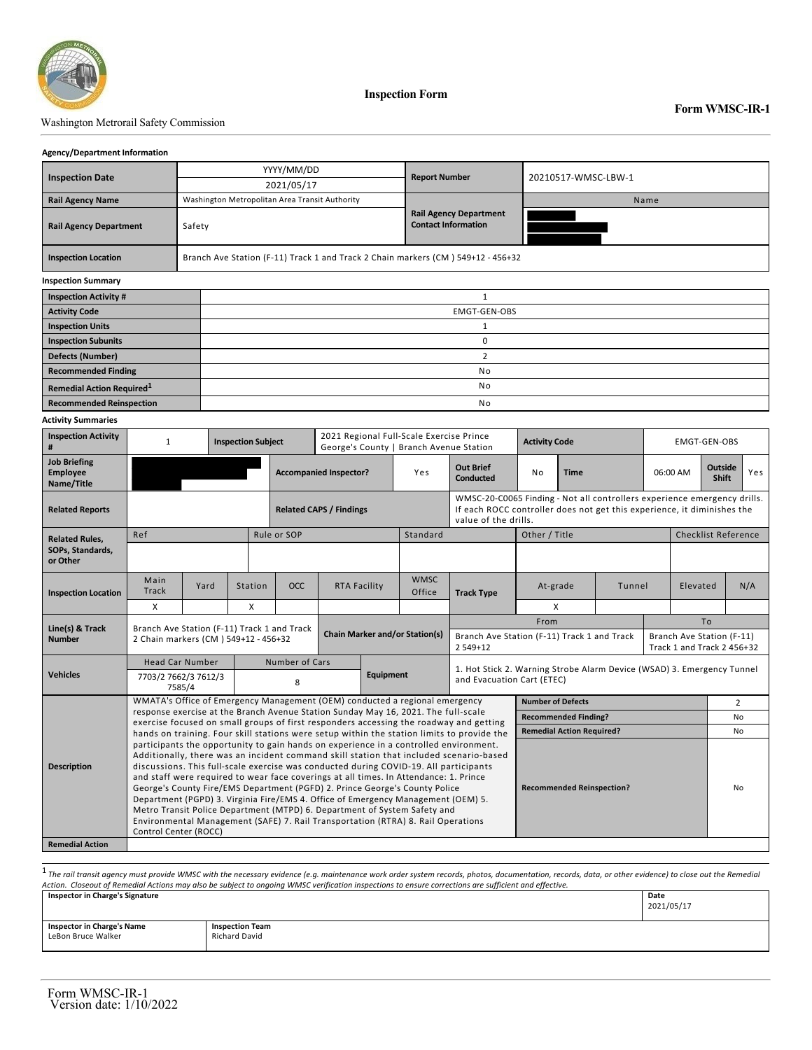

**Inspection Form**

## Washington Metrorail Safety Commission

## **Agency/Department Information**

| <b>Inspection Date</b>                | YYYY/MM/DD                                     | <b>Report Number</b>                                                             | 20210517-WMSC-LBW-1 |  |  |  |  |  |
|---------------------------------------|------------------------------------------------|----------------------------------------------------------------------------------|---------------------|--|--|--|--|--|
|                                       | 2021/05/17                                     |                                                                                  |                     |  |  |  |  |  |
| <b>Rail Agency Name</b>               | Washington Metropolitan Area Transit Authority |                                                                                  | Name                |  |  |  |  |  |
| <b>Rail Agency Department</b>         | Safety                                         | <b>Rail Agency Department</b><br><b>Contact Information</b>                      |                     |  |  |  |  |  |
| <b>Inspection Location</b>            |                                                | Branch Ave Station (F-11) Track 1 and Track 2 Chain markers (CM) 549+12 - 456+32 |                     |  |  |  |  |  |
| <b>Inspection Summary</b>             |                                                |                                                                                  |                     |  |  |  |  |  |
| <b>Inspection Activity #</b>          |                                                |                                                                                  |                     |  |  |  |  |  |
| <b>Activity Code</b>                  |                                                | EMGT-GEN-OBS                                                                     |                     |  |  |  |  |  |
| <b>Inspection Units</b>               |                                                |                                                                                  |                     |  |  |  |  |  |
| <b>Inspection Subunits</b>            |                                                | $\Omega$                                                                         |                     |  |  |  |  |  |
| <b>Defects (Number)</b>               |                                                | $\overline{2}$                                                                   |                     |  |  |  |  |  |
| <b>Recommended Finding</b>            |                                                | No                                                                               |                     |  |  |  |  |  |
| Remedial Action Required <sup>1</sup> | No                                             |                                                                                  |                     |  |  |  |  |  |
| <b>Recommended Reinspection</b>       | No                                             |                                                                                  |                     |  |  |  |  |  |
|                                       |                                                |                                                                                  |                     |  |  |  |  |  |

## **Activity Summaries**

| <b>Inspection Activity</b><br>#                      | $\mathbf{1}$                                                                                                                                                                                                                                                                                                                                                                                                                                                                                                                                                                                                                                                                                                                                                              |                                             | <b>Inspection Subject</b> |                                       | 2021 Regional Full-Scale Exercise Prince<br>George's County   Branch Avenue Station |                                                                        |                                                                                                                                                                             |                            | <b>Activity Code</b>                        |                                  |          | EMGT-GEN-OBS                   |          |                                                         |     |  |
|------------------------------------------------------|---------------------------------------------------------------------------------------------------------------------------------------------------------------------------------------------------------------------------------------------------------------------------------------------------------------------------------------------------------------------------------------------------------------------------------------------------------------------------------------------------------------------------------------------------------------------------------------------------------------------------------------------------------------------------------------------------------------------------------------------------------------------------|---------------------------------------------|---------------------------|---------------------------------------|-------------------------------------------------------------------------------------|------------------------------------------------------------------------|-----------------------------------------------------------------------------------------------------------------------------------------------------------------------------|----------------------------|---------------------------------------------|----------------------------------|----------|--------------------------------|----------|---------------------------------------------------------|-----|--|
| <b>Job Briefing</b><br><b>Employee</b><br>Name/Title |                                                                                                                                                                                                                                                                                                                                                                                                                                                                                                                                                                                                                                                                                                                                                                           |                                             |                           | <b>Accompanied Inspector?</b>         |                                                                                     | Yes                                                                    | <b>Out Brief</b><br><b>Conducted</b>                                                                                                                                        | No<br><b>Time</b>          |                                             |                                  | 06:00 AM | <b>Outside</b><br><b>Shift</b> | Yes      |                                                         |     |  |
| <b>Related Reports</b>                               |                                                                                                                                                                                                                                                                                                                                                                                                                                                                                                                                                                                                                                                                                                                                                                           |                                             |                           | <b>Related CAPS / Findings</b>        |                                                                                     |                                                                        | WMSC-20-C0065 Finding - Not all controllers experience emergency drills.<br>If each ROCC controller does not get this experience, it diminishes the<br>value of the drills. |                            |                                             |                                  |          |                                |          |                                                         |     |  |
| <b>Related Rules,</b>                                | Ref                                                                                                                                                                                                                                                                                                                                                                                                                                                                                                                                                                                                                                                                                                                                                                       |                                             |                           | Rule or SOP<br>Standard               |                                                                                     |                                                                        |                                                                                                                                                                             | Other / Title              |                                             |                                  |          | <b>Checklist Reference</b>     |          |                                                         |     |  |
| SOPs, Standards,<br>or Other                         |                                                                                                                                                                                                                                                                                                                                                                                                                                                                                                                                                                                                                                                                                                                                                                           |                                             |                           |                                       |                                                                                     |                                                                        |                                                                                                                                                                             |                            |                                             |                                  |          |                                |          |                                                         |     |  |
| <b>Inspection Location</b>                           | Main<br>Track                                                                                                                                                                                                                                                                                                                                                                                                                                                                                                                                                                                                                                                                                                                                                             | Yard                                        | Station                   | OCC.                                  | <b>RTA Facility</b>                                                                 |                                                                        | <b>WMSC</b><br>Office                                                                                                                                                       | <b>Track Type</b>          | At-grade                                    |                                  | Tunnel   |                                | Elevated |                                                         | N/A |  |
|                                                      | $\mathsf{x}$                                                                                                                                                                                                                                                                                                                                                                                                                                                                                                                                                                                                                                                                                                                                                              |                                             | X                         |                                       |                                                                                     |                                                                        |                                                                                                                                                                             |                            | X                                           |                                  |          |                                |          |                                                         |     |  |
| Line(s) & Track                                      |                                                                                                                                                                                                                                                                                                                                                                                                                                                                                                                                                                                                                                                                                                                                                                           | Branch Ave Station (F-11) Track 1 and Track |                           |                                       |                                                                                     |                                                                        |                                                                                                                                                                             |                            | From                                        |                                  |          |                                | To       |                                                         |     |  |
| <b>Number</b>                                        | 2 Chain markers (CM) 549+12 - 456+32                                                                                                                                                                                                                                                                                                                                                                                                                                                                                                                                                                                                                                                                                                                                      |                                             |                           | <b>Chain Marker and/or Station(s)</b> |                                                                                     |                                                                        |                                                                                                                                                                             | 2 5 4 9 + 1 2              | Branch Ave Station (F-11) Track 1 and Track |                                  |          |                                |          | Branch Ave Station (F-11)<br>Track 1 and Track 2 456+32 |     |  |
|                                                      | <b>Head Car Number</b>                                                                                                                                                                                                                                                                                                                                                                                                                                                                                                                                                                                                                                                                                                                                                    |                                             | Number of Cars            |                                       |                                                                                     | 1. Hot Stick 2. Warning Strobe Alarm Device (WSAD) 3. Emergency Tunnel |                                                                                                                                                                             |                            |                                             |                                  |          |                                |          |                                                         |     |  |
| <b>Vehicles</b>                                      | 7703/2 7662/3 7612/3<br>7585/4                                                                                                                                                                                                                                                                                                                                                                                                                                                                                                                                                                                                                                                                                                                                            |                                             |                           | <b>Equipment</b><br>8                 |                                                                                     |                                                                        |                                                                                                                                                                             | and Evacuation Cart (ETEC) |                                             |                                  |          |                                |          |                                                         |     |  |
|                                                      | WMATA's Office of Emergency Management (OEM) conducted a regional emergency                                                                                                                                                                                                                                                                                                                                                                                                                                                                                                                                                                                                                                                                                               |                                             |                           |                                       |                                                                                     |                                                                        |                                                                                                                                                                             | <b>Number of Defects</b>   |                                             |                                  |          | $\overline{2}$                 |          |                                                         |     |  |
|                                                      | response exercise at the Branch Avenue Station Sunday May 16, 2021. The full-scale<br>exercise focused on small groups of first responders accessing the roadway and getting                                                                                                                                                                                                                                                                                                                                                                                                                                                                                                                                                                                              |                                             |                           |                                       |                                                                                     |                                                                        |                                                                                                                                                                             |                            | <b>Recommended Finding?</b>                 |                                  |          |                                |          | No                                                      |     |  |
|                                                      | hands on training. Four skill stations were setup within the station limits to provide the                                                                                                                                                                                                                                                                                                                                                                                                                                                                                                                                                                                                                                                                                |                                             |                           |                                       |                                                                                     |                                                                        |                                                                                                                                                                             |                            |                                             | <b>Remedial Action Required?</b> |          |                                |          |                                                         | No  |  |
| <b>Description</b>                                   | participants the opportunity to gain hands on experience in a controlled environment.<br>Additionally, there was an incident command skill station that included scenario-based<br>discussions. This full-scale exercise was conducted during COVID-19. All participants<br>and staff were required to wear face coverings at all times. In Attendance: 1. Prince<br><b>Recommended Reinspection?</b><br>George's County Fire/EMS Department (PGFD) 2. Prince George's County Police<br>No<br>Department (PGPD) 3. Virginia Fire/EMS 4. Office of Emergency Management (OEM) 5.<br>Metro Transit Police Department (MTPD) 6. Department of System Safety and<br>Environmental Management (SAFE) 7. Rail Transportation (RTRA) 8. Rail Operations<br>Control Center (ROCC) |                                             |                           |                                       |                                                                                     |                                                                        |                                                                                                                                                                             |                            |                                             |                                  |          |                                |          |                                                         |     |  |
| <b>Remedial Action</b>                               |                                                                                                                                                                                                                                                                                                                                                                                                                                                                                                                                                                                                                                                                                                                                                                           |                                             |                           |                                       |                                                                                     |                                                                        |                                                                                                                                                                             |                            |                                             |                                  |          |                                |          |                                                         |     |  |

.<br>The rail transit agency must provide WMSC with the necessary evidence (e.g. maintenance work order system records, photos, documentation, records, data, or other evidence) to close out the Remedial (and alternation) are **Inspector in Charge's Signature Date**

| mapector in charge a aignature    |                        | Pate<br>2021/05/17 |
|-----------------------------------|------------------------|--------------------|
| <b>Inspector in Charge's Name</b> | <b>Inspection Team</b> |                    |
| LeBon Bruce Walker                | Richard David          |                    |
|                                   |                        |                    |